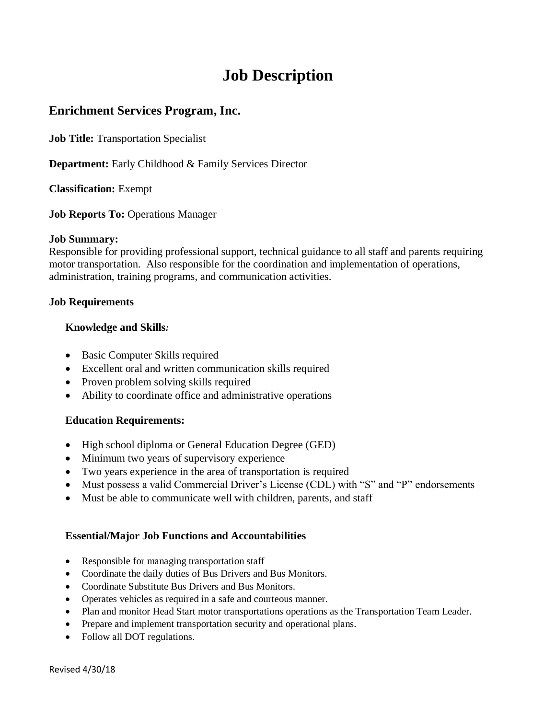# **Job Description**

## **Enrichment Services Program, Inc.**

**Job Title:** Transportation Specialist

**Department:** Early Childhood & Family Services Director

**Classification:** Exempt

**Job Reports To:** Operations Manager

#### **Job Summary:**

Responsible for providing professional support, technical guidance to all staff and parents requiring motor transportation. Also responsible for the coordination and implementation of operations, administration, training programs, and communication activities.

### **Job Requirements**

### **Knowledge and Skills***:*

- Basic Computer Skills required
- Excellent oral and written communication skills required
- Proven problem solving skills required
- Ability to coordinate office and administrative operations

### **Education Requirements:**

- High school diploma or General Education Degree (GED)
- Minimum two years of supervisory experience
- Two years experience in the area of transportation is required
- Must possess a valid Commercial Driver's License (CDL) with "S" and "P" endorsements
- Must be able to communicate well with children, parents, and staff

### **Essential/Major Job Functions and Accountabilities**

- Responsible for managing transportation staff
- Coordinate the daily duties of Bus Drivers and Bus Monitors.
- Coordinate Substitute Bus Drivers and Bus Monitors.
- Operates vehicles as required in a safe and courteous manner.
- Plan and monitor Head Start motor transportations operations as the Transportation Team Leader.
- Prepare and implement transportation security and operational plans.
- Follow all DOT regulations.